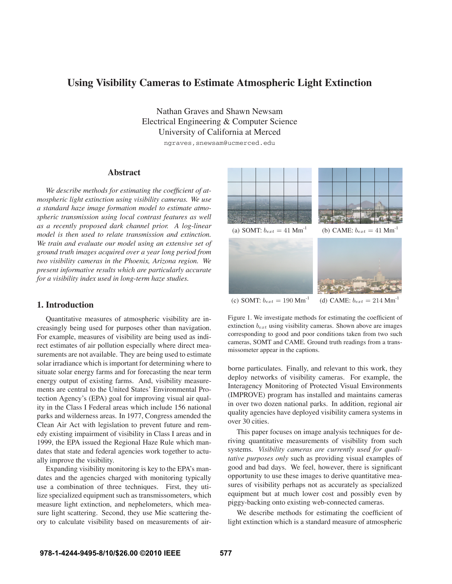# **Using Visibility Cameras to Estimate Atmospheric Light Extinction**

Nathan Graves and Shawn Newsam Electrical Engineering & Computer Science University of California at Merced

ngraves, snewsam@ucmerced.edu

# **Abstract**

*We describe methods for estimating the coefficient of atmospheric light extinction using visibility cameras. We use a standard haze image formation model to estimate atmospheric transmission using local contrast features as well as a recently proposed dark channel prior. A log-linear model is then used to relate transmission and extinction. We train and evaluate our model using an extensive set of ground truth images acquired over a year long period from two visibility cameras in the Phoenix, Arizona region. We present informative results which are particularly accurate for a visibility index used in long-term haze studies.*

# **1. Introduction**

Quantitative measures of atmospheric visibility are increasingly being used for purposes other than navigation. For example, measures of visibility are being used as indirect estimates of air pollution especially where direct measurements are not available. They are being used to estimate solar irradiance which is important for determining where to situate solar energy farms and for forecasting the near term energy output of existing farms. And, visibility measurements are central to the United States' Environmental Protection Agency's (EPA) goal for improving visual air quality in the Class I Federal areas which include 156 national parks and wilderness areas. In 1977, Congress amended the Clean Air Act with legislation to prevent future and remedy existing impairment of visibility in Class I areas and in 1999, the EPA issued the Regional Haze Rule which mandates that state and federal agencies work together to actually improve the visibility.

Expanding visibility monitoring is key to the EPA's mandates and the agencies charged with monitoring typically use a combination of three techniques. First, they utilize specialized equipment such as transmissometers, which measure light extinction, and nephelometers, which measure light scattering. Second, they use Mie scattering theory to calculate visibility based on measurements of air-



(c) SOMT:  $b_{ext} = 190 \text{ Mm}^{-1}$  (d) CAME:  $b_{ext} = 214 \text{ Mm}^{-1}$ 

Figure 1. We investigate methods for estimating the coefficient of extinction *bext* using visibility cameras. Shown above are images corresponding to good and poor conditions taken from two such cameras, SOMT and CAME. Ground truth readings from a transmissometer appear in the captions.

borne particulates. Finally, and relevant to this work, they deploy networks of visibility cameras. For example, the Interagency Monitoring of Protected Visual Environments (IMPROVE) program has installed and maintains cameras in over two dozen national parks. In addition, regional air quality agencies have deployed visibility camera systems in over 30 cities.

This paper focuses on image analysis techniques for deriving quantitative measurements of visibility from such systems. *Visibility cameras are currently used for qualitative purposes only* such as providing visual examples of good and bad days. We feel, however, there is significant opportunity to use these images to derive quantitative measures of visibility perhaps not as accurately as specialized equipment but at much lower cost and possibly even by piggy-backing onto existing web-connected cameras.

We describe methods for estimating the coefficient of light extinction which is a standard measure of atmospheric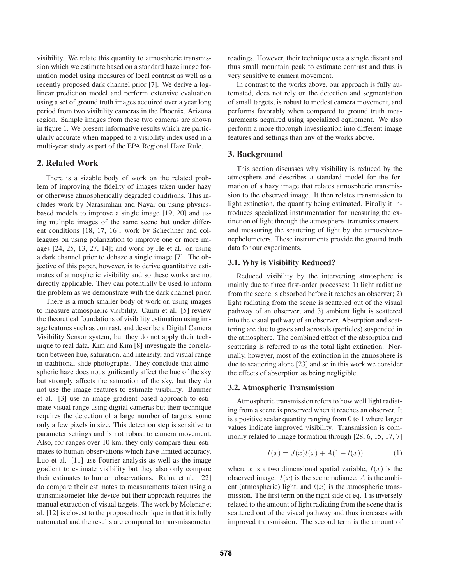visibility. We relate this quantity to atmospheric transmission which we estimate based on a standard haze image formation model using measures of local contrast as well as a recently proposed dark channel prior [7]. We derive a loglinear prediction model and perform extensive evaluation using a set of ground truth images acquired over a year long period from two visibility cameras in the Phoenix, Arizona region. Sample images from these two cameras are shown in figure 1. We present informative results which are particularly accurate when mapped to a visibility index used in a multi-year study as part of the EPA Regional Haze Rule.

# **2. Related Work**

There is a sizable body of work on the related problem of improving the fidelity of images taken under hazy or otherwise atmospherically degraded conditions. This includes work by Narasimhan and Nayar on using physicsbased models to improve a single image [19, 20] and using multiple images of the same scene but under different conditions [18, 17, 16]; work by Schechner and colleagues on using polarization to improve one or more images [24, 25, 13, 27, 14]; and work by He et al. on using a dark channel prior to dehaze a single image [7]. The objective of this paper, however, is to derive quantitative estimates of atmospheric visibility and so these works are not directly applicable. They can potentially be used to inform the problem as we demonstrate with the dark channel prior.

There is a much smaller body of work on using images to measure atmospheric visibility. Caimi et al. [5] review the theoretical foundations of visibility estimation using image features such as contrast, and describe a Digital Camera Visibility Sensor system, but they do not apply their technique to real data. Kim and Kim [8] investigate the correlation between hue, saturation, and intensity, and visual range in traditional slide photographs. They conclude that atmospheric haze does not significantly affect the hue of the sky but strongly affects the saturation of the sky, but they do not use the image features to estimate visibility. Baumer et al. [3] use an image gradient based approach to estimate visual range using digital cameras but their technique requires the detection of a large number of targets, some only a few pixels in size. This detection step is sensitive to parameter settings and is not robust to camera movement. Also, for ranges over 10 km, they only compare their estimates to human observations which have limited accuracy. Luo et al. [11] use Fourier analysis as well as the image gradient to estimate visibility but they also only compare their estimates to human observations. Raina et al. [22] do compare their estimates to measurements taken using a transmissometer-like device but their approach requires the manual extraction of visual targets. The work by Molenar et al. [12] is closest to the proposed technique in that it is fully automated and the results are compared to transmissometer readings. However, their technique uses a single distant and thus small mountain peak to estimate contrast and thus is very sensitive to camera movement.

In contrast to the works above, our approach is fully automated, does not rely on the detection and segmentation of small targets, is robust to modest camera movement, and performs favorably when compared to ground truth measurements acquired using specialized equipment. We also perform a more thorough investigation into different image features and settings than any of the works above.

# **3. Background**

This section discusses why visibility is reduced by the atmosphere and describes a standard model for the formation of a hazy image that relates atmospheric transmission to the observed image. It then relates transmission to light extinction, the quantity being estimated. Finally it introduces specialized instrumentation for measuring the extinction of light through the atmosphere–transmissometers– and measuring the scattering of light by the atmosphere– nephelometers. These instruments provide the ground truth data for our experiments.

### **3.1. Why is Visibility Reduced?**

Reduced visibility by the intervening atmosphere is mainly due to three first-order processes: 1) light radiating from the scene is absorbed before it reaches an observer; 2) light radiating from the scene is scattered out of the visual pathway of an observer; and 3) ambient light is scattered into the visual pathway of an observer. Absorption and scattering are due to gases and aerosols (particles) suspended in the atmosphere. The combined effect of the absorption and scattering is referred to as the total light extinction. Normally, however, most of the extinction in the atmosphere is due to scattering alone [23] and so in this work we consider the effects of absorption as being negligible.

#### **3.2. Atmospheric Transmission**

Atmospheric transmission refers to how well light radiating from a scene is preserved when it reaches an observer. It is a positive scalar quantity ranging from 0 to 1 where larger values indicate improved visibility. Transmission is commonly related to image formation through [28, 6, 15, 17, 7]

$$
I(x) = J(x)t(x) + A(1 - t(x))
$$
 (1)

where *x* is a two dimensional spatial variable,  $I(x)$  is the observed image,  $J(x)$  is the scene radiance, A is the ambient (atmospheric) light, and  $t(x)$  is the atmospheric transmission. The first term on the right side of eq. 1 is inversely related to the amount of light radiating from the scene that is scattered out of the visual pathway and thus increases with improved transmission. The second term is the amount of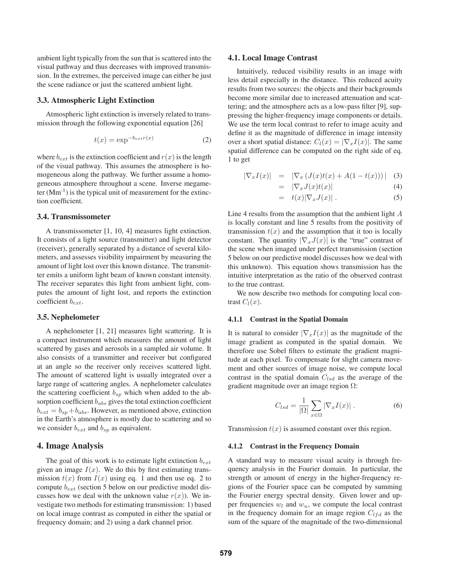ambient light typically from the sun that is scattered into the visual pathway and thus decreases with improved transmission. In the extremes, the perceived image can either be just the scene radiance or just the scattered ambient light.

# **3.3. Atmospheric Light Extinction**

Atmospheric light extinction is inversely related to transmission through the following exponential equation [26]

$$
t(x) = \exp^{-b_{ext}r(x)}\tag{2}
$$

where  $b_{ext}$  is the extinction coefficient and  $r(x)$  is the length of the visual pathway. This assumes the atmosphere is homogeneous along the pathway. We further assume a homogeneous atmosphere throughout a scene. Inverse megameter  $(Mm^{-1})$  is the typical unit of measurement for the extinction coefficient.

# **3.4. Transmissometer**

A transmissometer [1, 10, 4] measures light extinction. It consists of a light source (transmitter) and light detector (receiver), generally separated by a distance of several kilometers, and assesses visibility impairment by measuring the amount of light lost over this known distance. The transmitter emits a uniform light beam of known constant intensity. The receiver separates this light from ambient light, computes the amount of light lost, and reports the extinction coefficient *bext*.

# **3.5. Nephelometer**

A nephelometer [1, 21] measures light scattering. It is a compact instrument which measures the amount of light scattered by gases and aerosols in a sampled air volume. It also consists of a transmitter and receiver but configured at an angle so the receiver only receives scattered light. The amount of scattered light is usually integrated over a large range of scattering angles. A nephelometer calculates the scattering coefficient  $b_{sp}$  which when added to the absorption coefficient *babs* gives the total extinction coefficient  $b_{ext} = b_{sp} + b_{abs}$ . However, as mentioned above, extinction in the Earth's atmosphere is mostly due to scattering and so we consider  $b_{ext}$  and  $b_{sp}$  as equivalent.

# **4. Image Analysis**

The goal of this work is to estimate light extinction *bext* given an image  $I(x)$ . We do this by first estimating transmission  $t(x)$  from  $I(x)$  using eq. 1 and then use eq. 2 to compute *bext* (section 5 below on our predictive model discusses how we deal with the unknown value  $r(x)$ ). We investigate two methods for estimating transmission: 1) based on local image contrast as computed in either the spatial or frequency domain; and 2) using a dark channel prior.

#### **4.1. Local Image Contrast**

Intuitively, reduced visibility results in an image with less detail especially in the distance. This reduced acuity results from two sources: the objects and their backgrounds become more similar due to increased attenuation and scattering; and the atmosphere acts as a low-pass filter [9], suppressing the higher-frequency image components or details. We use the term local contrast to refer to image acuity and define it as the magnitude of difference in image intensity over a short spatial distance:  $C_l(x) = |\nabla_x I(x)|$ . The same spatial difference can be computed on the right side of eq. 1 to get

$$
|\nabla_x I(x)| = |\nabla_x (J(x)t(x) + A(1 - t(x)))| \quad (3)
$$

$$
= |\nabla_x J(x)t(x)| \tag{4}
$$

$$
= t(x)|\nabla_x J(x)|. \tag{5}
$$

Line 4 results from the assumption that the ambient light *A* is locally constant and line 5 results from the positivity of transmission  $t(x)$  and the assumption that it too is locally constant. The quantity  $|\nabla_x J(x)|$  is the "true" contrast of the scene when imaged under perfect transmission (section 5 below on our predictive model discusses how we deal with this unknown). This equation shows transmission has the intuitive interpretation as the ratio of the observed contrast to the true contrast.

We now describe two methods for computing local contrast  $C_l(x)$ .

# **4.1.1 Contrast in the Spatial Domain**

It is natural to consider  $|\nabla_x I(x)|$  as the magnitude of the image gradient as computed in the spatial domain. We therefore use Sobel filters to estimate the gradient magnitude at each pixel. To compensate for slight camera movement and other sources of image noise, we compute local contrast in the spatial domain *Clsd* as the average of the gradient magnitude over an image region Ω:

$$
C_{lsd} = \frac{1}{|\Omega|} \sum_{x \in \Omega} |\nabla_x I(x)|.
$$
 (6)

Transmission  $t(x)$  is assumed constant over this region.

#### **4.1.2 Contrast in the Frequency Domain**

A standard way to measure visual acuity is through frequency analysis in the Fourier domain. In particular, the strength or amount of energy in the higher-frequency regions of the Fourier space can be computed by summing the Fourier energy spectral density. Given lower and upper frequencies  $w_l$  and  $w_u$ , we compute the local contrast in the frequency domain for an image region  $C_{lfd}$  as the sum of the square of the magnitude of the two-dimensional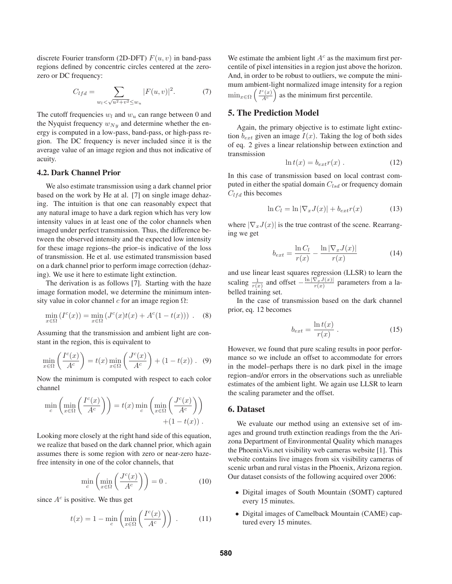discrete Fourier transform (2D-DFT)  $F(u, v)$  in band-pass regions defined by concentric circles centered at the zerozero or DC frequency:

$$
C_{lfd} = \sum_{w_l < \sqrt{u^2 + v^2} \le w_u} |F(u, v)|^2. \tag{7}
$$

The cutoff frequencies  $w_l$  and  $w_u$  can range between 0 and the Nyquist frequency  $w_{Ny}$  and determine whether the energy is computed in a low-pass, band-pass, or high-pass region. The DC frequency is never included since it is the average value of an image region and thus not indicative of acuity.

### **4.2. Dark Channel Prior**

We also estimate transmission using a dark channel prior based on the work by He at al. [7] on single image dehazing. The intuition is that one can reasonably expect that any natural image to have a dark region which has very low intensity values in at least one of the color channels when imaged under perfect transmission. Thus, the difference between the observed intensity and the expected low intensity for these image regions–the prior–is indicative of the loss of transmission. He et al. use estimated transmission based on a dark channel prior to perform image correction (dehazing). We use it here to estimate light extinction.

The derivation is as follows [7]. Starting with the haze image formation model, we determine the minimum intensity value in color channel *c* for an image region Ω:

$$
\min_{x \in \Omega} (I^c(x)) = \min_{x \in \Omega} (J^c(x)t(x) + A^c(1 - t(x))) \ . \tag{8}
$$

Assuming that the transmission and ambient light are constant in the region, this is equivalent to

$$
\min_{x \in \Omega} \left( \frac{I^c(x)}{A^c} \right) = t(x) \min_{x \in \Omega} \left( \frac{J^c(x)}{A^c} \right) + (1 - t(x)) \ . \tag{9}
$$

Now the minimum is computed with respect to each color channel

$$
\min_{c} \left( \min_{x \in \Omega} \left( \frac{I^c(x)}{A^c} \right) \right) = t(x) \min_{c} \left( \min_{x \in \Omega} \left( \frac{J^c(x)}{A^c} \right) \right) + (1 - t(x)).
$$

Looking more closely at the right hand side of this equation, we realize that based on the dark channel prior, which again assumes there is some region with zero or near-zero hazefree intensity in one of the color channels, that

$$
\min_{c} \left( \min_{x \in \Omega} \left( \frac{J^c(x)}{A^c} \right) \right) = 0. \tag{10}
$$

since  $A^c$  is positive. We thus get

$$
t(x) = 1 - \min_{c} \left( \min_{x \in \Omega} \left( \frac{I^c(x)}{A^c} \right) \right) . \tag{11}
$$

We estimate the ambient light *A<sup>c</sup>* as the maximum first percentile of pixel intensities in a region just above the horizon. And, in order to be robust to outliers, we compute the minimum ambient-light normalized image intensity for a region  $\min_{x \in \Omega} \left( \frac{I^c(x)}{A^c} \right)$  as the minimum first percentile.

# **5. The Prediction Model**

Again, the primary objective is to estimate light extinction  $b_{ext}$  given an image  $I(x)$ . Taking the log of both sides of eq. 2 gives a linear relationship between extinction and transmission

$$
\ln t(x) = b_{ext}r(x) . \tag{12}
$$

In this case of transmission based on local contrast computed in either the spatial domain *Clsd* or frequency domain *Clfd* this becomes

$$
\ln C_l = \ln |\nabla_x J(x)| + b_{ext} r(x) \tag{13}
$$

where  $|\nabla_x J(x)|$  is the true contrast of the scene. Rearranging we get

$$
b_{ext} = \frac{\ln C_l}{r(x)} - \frac{\ln |\nabla_x J(x)|}{r(x)} \tag{14}
$$

and use linear least squares regression (LLSR) to learn the scaling  $\frac{1}{r(x)}$  and offset  $-\frac{\ln |\nabla_x f(x)|}{r(x)}$  parameters from a labelled training set.

In the case of transmission based on the dark channel prior, eq. 12 becomes

$$
b_{ext} = \frac{\ln t(x)}{r(x)}\,. \tag{15}
$$

However, we found that pure scaling results in poor performance so we include an offset to accommodate for errors in the model–perhaps there is no dark pixel in the image region–and/or errors in the observations such as unreliable estimates of the ambient light. We again use LLSR to learn the scaling parameter and the offset.

# **6. Dataset**

We evaluate our method using an extensive set of images and ground truth extinction readings from the the Arizona Department of Environmental Quality which manages the PhoenixVis.net visibility web cameras website [1]. This website contains live images from six visibility cameras of scenic urban and rural vistas in the Phoenix, Arizona region. Our dataset consists of the following acquired over 2006:

- Digital images of South Mountain (SOMT) captured every 15 minutes.
- Digital images of Camelback Mountain (CAME) captured every 15 minutes.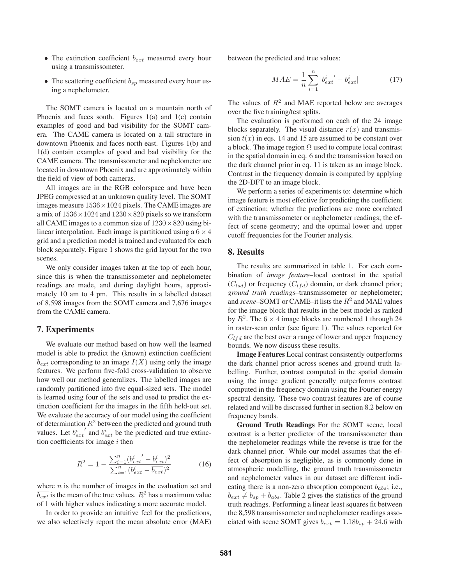- The extinction coefficient  $b_{ext}$  measured every hour using a transmissometer.
- The scattering coefficient  $b_{sp}$  measured every hour using a nephelometer.

The SOMT camera is located on a mountain north of Phoenix and faces south. Figures 1(a) and 1(c) contain examples of good and bad visibility for the SOMT camera. The CAME camera is located on a tall structure in downtown Phoenix and faces north east. Figures 1(b) and 1(d) contain examples of good and bad visibility for the CAME camera. The transmissometer and nephelometer are located in downtown Phoenix and are approximately within the field of view of both cameras.

All images are in the RGB colorspace and have been JPEG compressed at an unknown quality level. The SOMT images measure  $1536 \times 1024$  pixels. The CAME images are a mix of  $1536 \times 1024$  and  $1230 \times 820$  pixels so we transform all CAME images to a common size of  $1230 \times 820$  using bilinear interpolation. Each image is partitioned using a  $6 \times 4$ grid and a prediction model is trained and evaluated for each block separately. Figure 1 shows the grid layout for the two scenes.

We only consider images taken at the top of each hour, since this is when the transmissometer and nephelometer readings are made, and during daylight hours, approximately 10 am to 4 pm. This results in a labelled dataset of 8,598 images from the SOMT camera and 7,676 images from the CAME camera.

### **7. Experiments**

We evaluate our method based on how well the learned model is able to predict the (known) extinction coefficient  $b_{ext}$  corresponding to an image  $I(X)$  using only the image features. We perform five-fold cross-validation to observe how well our method generalizes. The labelled images are randomly partitioned into five equal-sized sets. The model is learned using four of the sets and used to predict the extinction coefficient for the images in the fifth held-out set. We evaluate the accuracy of our model using the coefficient of determination *R*<sup>2</sup> between the predicted and ground truth values. Let  $b_{ext}^i'$  and  $b_{ext}^i$  be the predicted and true extinction coefficients for image *i* then

$$
R^{2} = 1 - \frac{\sum_{i=1}^{n} (b_{ext}^{i} - b_{ext}^{i})^{2}}{\sum_{i=1}^{n} (b_{ext}^{i} - b_{ext})^{2}}
$$
(16)

where *n* is the number of images in the evaluation set and  $\overline{b_{ext}}$  is the mean of the true values.  $R^2$  has a maximum value of 1 with higher values indicating a more accurate model.

In order to provide an intuitive feel for the predictions, we also selectively report the mean absolute error (MAE) between the predicted and true values:

$$
MAE = \frac{1}{n} \sum_{i=1}^{n} |b_{ext}^{i'} - b_{ext}^{i}|
$$
 (17)

The values of  $R^2$  and MAE reported below are averages over the five training/test splits.

The evaluation is performed on each of the 24 image blocks separately. The visual distance  $r(x)$  and transmission  $t(x)$  in eqs. 14 and 15 are assumed to be constant over a block. The image region  $\Omega$  used to compute local contrast in the spatial domain in eq. 6 and the transmission based on the dark channel prior in eq. 11 is taken as an image block. Contrast in the frequency domain is computed by applying the 2D-DFT to an image block.

We perform a series of experiments to: determine which image feature is most effective for predicting the coefficient of extinction; whether the predictions are more correlated with the transmissometer or nephelometer readings; the effect of scene geometry; and the optimal lower and upper cutoff frequencies for the Fourier analysis.

### **8. Results**

The results are summarized in table 1. For each combination of *image feature*–local contrast in the spatial  $(C_{lsd})$  or frequency  $(C_{lfd})$  domain, or dark channel prior; *ground truth readings*–transmissometer or nephelometer; and *scene*–SOMT or CAME–it lists the *R*<sup>2</sup> and MAE values for the image block that results in the best model as ranked by  $R^2$ . The 6  $\times$  4 image blocks are numbered 1 through 24 in raster-scan order (see figure 1). The values reported for  $C_{lfd}$  are the best over a range of lower and upper frequency bounds. We now discuss these results.

**Image Features** Local contrast consistently outperforms the dark channel prior across scenes and ground truth labelling. Further, contrast computed in the spatial domain using the image gradient generally outperforms contrast computed in the frequency domain using the Fourier energy spectral density. These two contrast features are of course related and will be discussed further in section 8.2 below on frequency bands.

**Ground Truth Readings** For the SOMT scene, local contrast is a better predictor of the transmissometer than the nephelometer readings while the reverse is true for the dark channel prior. While our model assumes that the effect of absorption is negligible, as is commonly done in atmospheric modelling, the ground truth transmissometer and nephelometer values in our dataset are different indicating there is a non-zero absorption component *babs*; i.e.,  $b_{ext} \neq b_{sp} + b_{abs}$ . Table 2 gives the statistics of the ground truth readings. Performing a linear least squares fit between the 8,598 transmissometer and nephelometer readings associated with scene SOMT gives  $b_{ext} = 1.18b_{sp} + 24.6$  with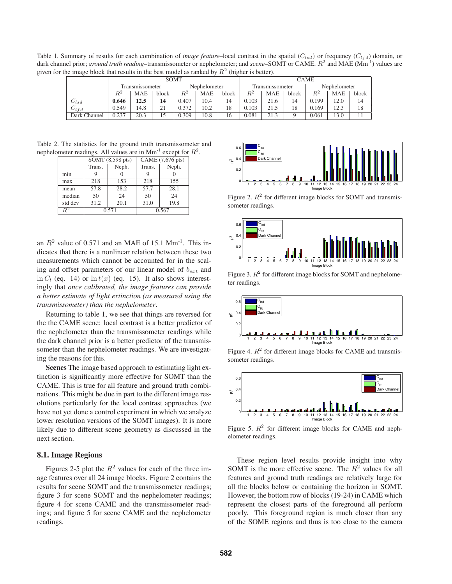Table 1. Summary of results for each combination of *image feature*–local contrast in the spatial ( $C_{lsd}$ ) or frequency ( $C_{lfd}$ ) domain, or dark channel prior; *ground truth reading*–transmissometer or nephelometer; and *scene*–SOMT or CAME.  $R^2$  and MAE (Mm<sup>-1</sup>) values are given for the image block that results in the best model as ranked by  $R^2$  (higher is better).

|              |                 |      | SOMT  |              |            |       |                 |            | <b>CAME</b>     |              |            |       |
|--------------|-----------------|------|-------|--------------|------------|-------|-----------------|------------|-----------------|--------------|------------|-------|
|              | Transmissometer |      |       | Nephelometer |            |       | Transmissometer |            |                 | Nephelometer |            |       |
|              | $\,R^2$         | MAE  | block | $\,R^2$      | <b>MAE</b> | block | $R^2$           | <b>MAE</b> | block           | $\,R^2$      | <b>MAE</b> | block |
| $C_{lsd}$    | 0.646           | 12.5 | 14    | 0.407        | 10.4       | 14    | 0.103           | 21.6       | $\overline{14}$ | 0.199        | 12.0       | 14    |
| $C_l f d$    | 0.549           | 4.8  | 21    | 0.372        | 10.2       | 18    | 0.103           | 21.5       | 18              | 0.169        | 12.3       | 18    |
| Dark Channel | 0.237           | 20.3 | 15    | 0.309        | 10.8       | 16    | 0.081           | 21.3       |                 | 0.061        | 13.0       |       |

Table 2. The statistics for the ground truth transmissometer and nephelometer readings. All values are in  $Mm^{-1}$  except for  $R^2$ .

|             |        | SOMT (8,598 pts) | CAME (7,676 pts) |       |  |
|-------------|--------|------------------|------------------|-------|--|
|             | Trans. | Neph.            | Trans.           | Neph. |  |
| min         |        |                  | q                |       |  |
| max         | 218    | 153              | 218              | 155   |  |
| mean        | 57.8   | 28.2             | 57.7             | 28.1  |  |
| median      | 50     | 24               | 50               | 24    |  |
| std dev     | 31.2   | 20.1             | 31.0             | 19.8  |  |
| $_{\rm R2}$ |        | 0.571            | 0.567            |       |  |

an  $R^2$  value of 0.571 and an MAE of 15.1 Mm<sup>-1</sup>. This indicates that there is a nonlinear relation between these two measurements which cannot be accounted for in the scaling and offset parameters of our linear model of *bext* and  $\ln C_l$  (eq. 14) or  $\ln t(x)$  (eq. 15). It also shows interestingly that *once calibrated, the image features can provide a better estimate of light extinction (as measured using the transmissometer) than the nephelometer*.

Returning to table 1, we see that things are reversed for the the CAME scene: local contrast is a better predictor of the nephelometer than the transmissometer readings while the dark channel prior is a better predictor of the transmissometer than the nephelometer readings. We are investigating the reasons for this.

**Scenes** The image based approach to estimating light extinction is significantly more effective for SOMT than the CAME. This is true for all feature and ground truth combinations. This might be due in part to the different image resolutions particularly for the local contrast approaches (we have not yet done a control experiment in which we analyze lower resolution versions of the SOMT images). It is more likely due to different scene geometry as discussed in the next section.

#### **8.1. Image Regions**

Figures 2-5 plot the  $R^2$  values for each of the three image features over all 24 image blocks. Figure 2 contains the results for scene SOMT and the transmissometer readings; figure 3 for scene SOMT and the nephelometer readings; figure 4 for scene CAME and the transmissometer readings; and figure 5 for scene CAME and the nephelometer readings.



Figure 2.  $R^2$  for different image blocks for SOMT and transmissometer readings.



Figure 3.  $R^2$  for different image blocks for SOMT and nephelometer readings.



Figure 4.  $R^2$  for different image blocks for CAME and transmissometer readings.



Figure 5.  $R^2$  for different image blocks for CAME and nephelometer readings.

These region level results provide insight into why SOMT is the more effective scene. The  $R<sup>2</sup>$  values for all features and ground truth readings are relatively large for all the blocks below or containing the horizon in SOMT. However, the bottom row of blocks (19-24) in CAME which represent the closest parts of the foreground all perform poorly. This foreground region is much closer than any of the SOME regions and thus is too close to the camera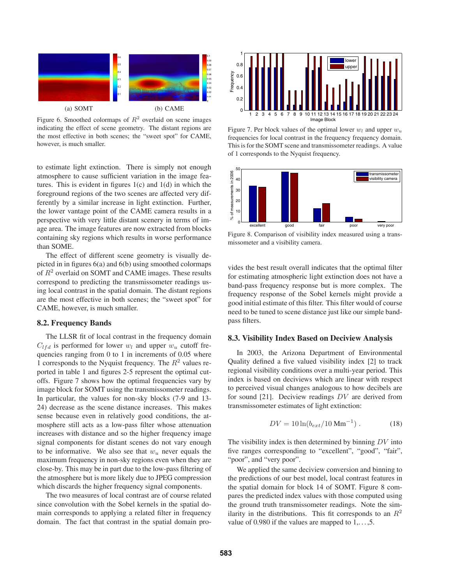

Figure 6. Smoothed colormaps of  $R^2$  overlaid on scene images indicating the effect of scene geometry. The distant regions are the most effective in both scenes; the "sweet spot" for CAME, however, is much smaller.

to estimate light extinction. There is simply not enough atmosphere to cause sufficient variation in the image features. This is evident in figures  $1(c)$  and  $1(d)$  in which the foreground regions of the two scenes are affected very differently by a similar increase in light extinction. Further, the lower vantage point of the CAME camera results in a perspective with very little distant scenery in terms of image area. The image features are now extracted from blocks containing sky regions which results in worse performance than SOME.

The effect of different scene geometry is visually depicted in in figures 6(a) and 6(b) using smoothed colormaps of  $R^2$  overlaid on SOMT and CAME images. These results correspond to predicting the transmissometer readings using local contrast in the spatial domain. The distant regions are the most effective in both scenes; the "sweet spot" for CAME, however, is much smaller.

### **8.2. Frequency Bands**

The LLSR fit of local contrast in the frequency domain  $C_{lfd}$  is performed for lower  $w_l$  and upper  $w_u$  cutoff frequencies ranging from 0 to 1 in increments of 0.05 where 1 corresponds to the Nyquist frequency. The  $R^2$  values reported in table 1 and figures 2-5 represent the optimal cutoffs. Figure 7 shows how the optimal frequencies vary by image block for SOMT using the transmissometer readings. In particular, the values for non-sky blocks (7-9 and 13- 24) decrease as the scene distance increases. This makes sense because even in relatively good conditions, the atmosphere still acts as a low-pass filter whose attenuation increases with distance and so the higher frequency image signal components for distant scenes do not vary enough to be informative. We also see that  $w_u$  never equals the maximum frequency in non-sky regions even when they are close-by. This may be in part due to the low-pass filtering of the atmosphere but is more likely due to JPEG compression which discards the higher frequency signal components.

The two measures of local contrast are of course related since convolution with the Sobel kernels in the spatial domain corresponds to applying a related filter in frequency domain. The fact that contrast in the spatial domain pro-



Figure 7. Per block values of the optimal lower  $w_l$  and upper  $w_u$ frequencies for local contrast in the frequency frequency domain. This is for the SOMT scene and transmissometer readings. A value of 1 corresponds to the Nyquist frequency.



Figure 8. Comparison of visibility index measured using a transmissometer and a visibility camera.

vides the best result overall indicates that the optimal filter for estimating atmospheric light extinction does not have a band-pass frequency response but is more complex. The frequency response of the Sobel kernels might provide a good initial estimate of this filter. This filter would of course need to be tuned to scene distance just like our simple bandpass filters.

#### **8.3. Visibility Index Based on Deciview Analysis**

In 2003, the Arizona Department of Environmental Quality defined a five valued visibility index [2] to track regional visibility conditions over a multi-year period. This index is based on deciviews which are linear with respect to perceived visual changes analogous to how decibels are for sound [21]. Deciview readings *DV* are derived from transmissometer estimates of light extinction:

$$
DV = 10 \ln(b_{ext}/10 \text{ Mm}^{-1}). \tag{18}
$$

The visibility index is then determined by binning *DV* into five ranges corresponding to "excellent", "good", "fair", "poor", and "very poor".

We applied the same deciview conversion and binning to the predictions of our best model, local contrast features in the spatial domain for block 14 of SOMT. Figure 8 compares the predicted index values with those computed using the ground truth transmissometer readings. Note the similarity in the distributions. This fit corresponds to an  $R^2$ value of 0.980 if the values are mapped to  $1, \ldots, 5$ .